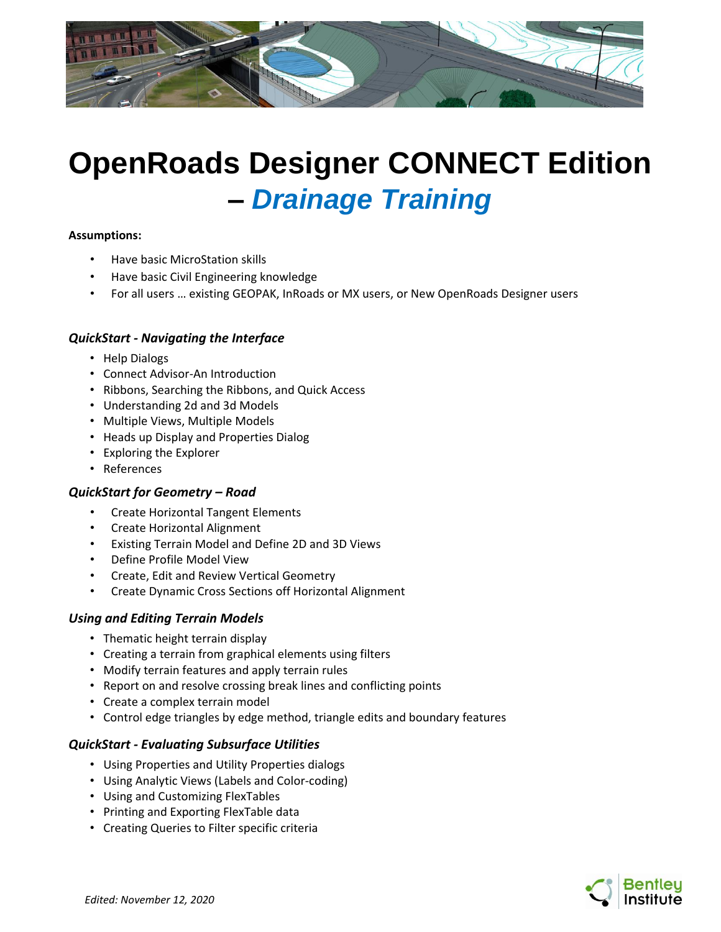

# **OpenRoads Designer CONNECT Edition –** *Drainage Training*

#### **Assumptions:**

- Have basic MicroStation skills
- Have basic Civil Engineering knowledge
- For all users … existing GEOPAK, InRoads or MX users, or New OpenRoads Designer users

#### *QuickStart - Navigating the Interface*

- Help Dialogs
- Connect Advisor-An Introduction
- Ribbons, Searching the Ribbons, and Quick Access
- Understanding 2d and 3d Models
- Multiple Views, Multiple Models
- Heads up Display and Properties Dialog
- Exploring the Explorer
- References

## *QuickStart for Geometry – Road*

- Create Horizontal Tangent Elements
- Create Horizontal Alignment
- Existing Terrain Model and Define 2D and 3D Views
- Define Profile Model View
- Create, Edit and Review Vertical Geometry
- Create Dynamic Cross Sections off Horizontal Alignment

## *Using and Editing Terrain Models*

- Thematic height terrain display
- Creating a terrain from graphical elements using filters
- Modify terrain features and apply terrain rules
- Report on and resolve crossing break lines and conflicting points
- Create a complex terrain model
- Control edge triangles by edge method, triangle edits and boundary features

## *QuickStart - Evaluating Subsurface Utilities*

- Using Properties and Utility Properties dialogs
- Using Analytic Views (Labels and Color-coding)
- Using and Customizing FlexTables
- Printing and Exporting FlexTable data
- Creating Queries to Filter specific criteria

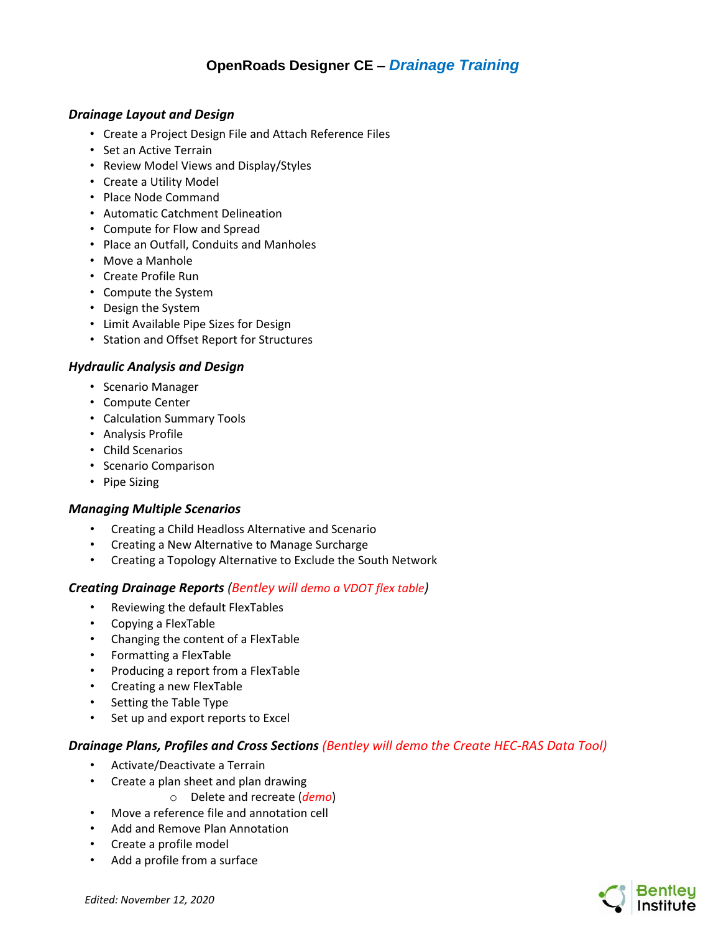# **OpenRoads Designer CE –** *Drainage Training*

#### *Drainage Layout and Design*

- Create a Project Design File and Attach Reference Files
- Set an Active Terrain
- Review Model Views and Display/Styles
- Create a Utility Model
- Place Node Command
- Automatic Catchment Delineation
- Compute for Flow and Spread
- Place an Outfall, Conduits and Manholes
- Move a Manhole
- Create Profile Run
- Compute the System
- Design the System
- Limit Available Pipe Sizes for Design
- Station and Offset Report for Structures

#### *Hydraulic Analysis and Design*

- Scenario Manager
- Compute Center
- Calculation Summary Tools
- Analysis Profile
- Child Scenarios
- Scenario Comparison
- Pipe Sizing

#### *Managing Multiple Scenarios*

- Creating a Child Headloss Alternative and Scenario
- Creating a New Alternative to Manage Surcharge
- Creating a Topology Alternative to Exclude the South Network

#### *Creating Drainage Reports (Bentley will demo a VDOT flex table)*

- Reviewing the default FlexTables
- Copying a FlexTable
- Changing the content of a FlexTable
- Formatting a FlexTable
- Producing a report from a FlexTable
- Creating a new FlexTable
- Setting the Table Type
- Set up and export reports to Excel

#### *Drainage Plans, Profiles and Cross Sections (Bentley will demo the Create HEC-RAS Data Tool)*

- Activate/Deactivate a Terrain
- Create a plan sheet and plan drawing
	- o Delete and recreate (*demo*)
- Move a reference file and annotation cell
- Add and Remove Plan Annotation
- Create a profile model
- Add a profile from a surface